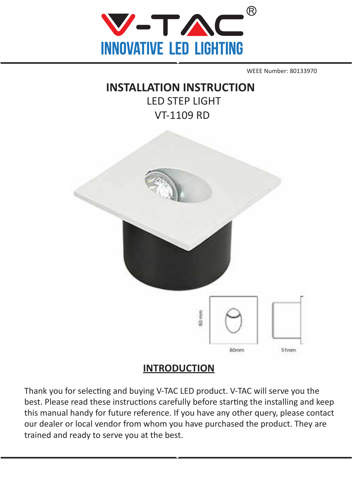

WEEE Number: 80133970

# **INSTALLATION INSTRUCTION** LED STEP LIGHT VT-1109 RD



## **INTRODUCTION**

Thank you for selecting and buying V-TAC LED product. V-TAC will serve you the best. Please read these instructions carefully before starting the installing and keep this manual handy for future reference. If you have any other query, please contact our dealer or local vendor from whom you have purchased the product. They are trained and ready to serve you at the best.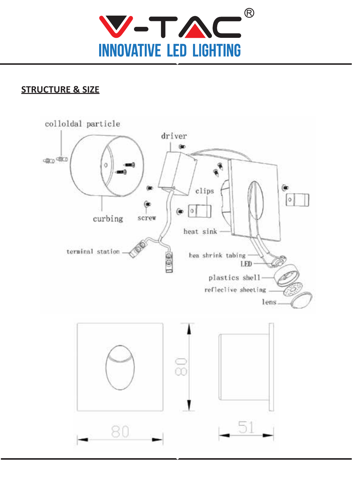

# **STRUCTURE & SIZE**

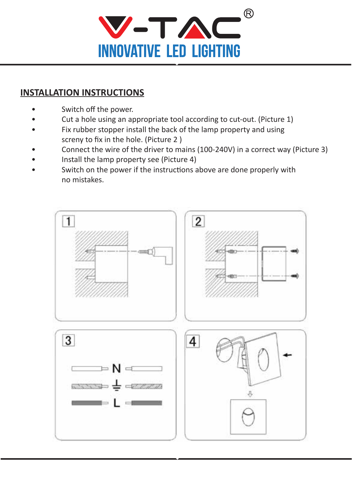

### **INSTALLATION INSTRUCTIONS**

- Switch off the power.
- Cut a hole using an appropriate tool according to cut-out. (Picture 1)
- Fix rubber stopper install the back of the lamp property and using screny to fix in the hole. (Picture 2 )
- Connect the wire of the driver to mains (100-240V) in a correct way (Picture 3)
- Install the lamp property see (Picture 4)
- Switch on the power if the instructions above are done properly with no mistakes.